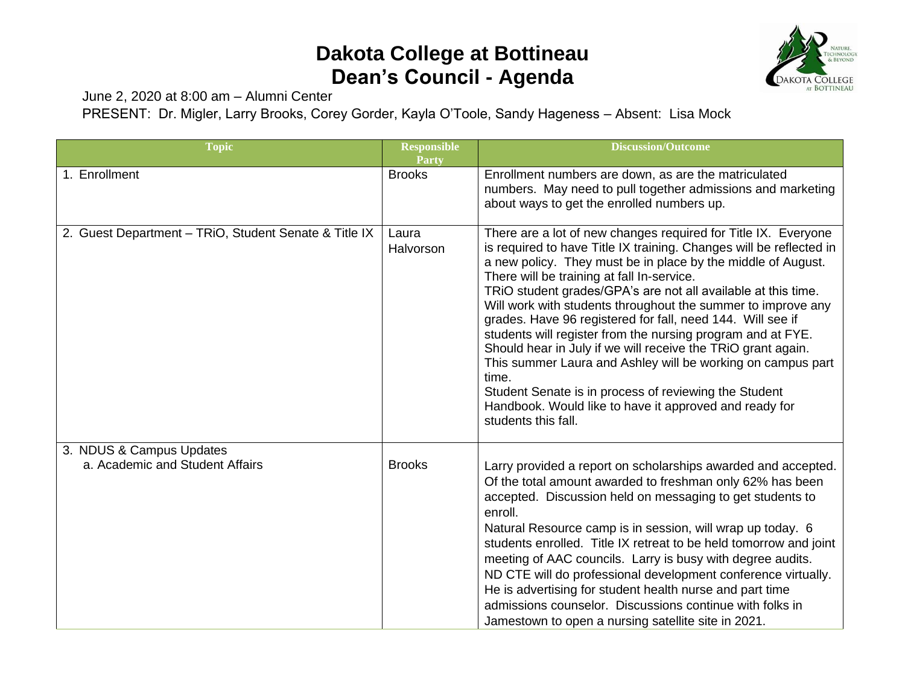## **Dakota College at Bottineau Dean's Council - Agenda**



June 2, 2020 at 8:00 am – Alumni Center

PRESENT: Dr. Migler, Larry Brooks, Corey Gorder, Kayla O'Toole, Sandy Hageness – Absent: Lisa Mock

| <b>Topic</b>                                                | <b>Responsible</b><br>Party | <b>Discussion/Outcome</b>                                                                                                                                                                                                                                                                                                                                                                                                                                                                                                                                                                                                                                                                                                                                                                           |
|-------------------------------------------------------------|-----------------------------|-----------------------------------------------------------------------------------------------------------------------------------------------------------------------------------------------------------------------------------------------------------------------------------------------------------------------------------------------------------------------------------------------------------------------------------------------------------------------------------------------------------------------------------------------------------------------------------------------------------------------------------------------------------------------------------------------------------------------------------------------------------------------------------------------------|
| 1. Enrollment                                               | <b>Brooks</b>               | Enrollment numbers are down, as are the matriculated<br>numbers. May need to pull together admissions and marketing<br>about ways to get the enrolled numbers up.                                                                                                                                                                                                                                                                                                                                                                                                                                                                                                                                                                                                                                   |
| 2. Guest Department - TRiO, Student Senate & Title IX       | Laura<br>Halvorson          | There are a lot of new changes required for Title IX. Everyone<br>is required to have Title IX training. Changes will be reflected in<br>a new policy. They must be in place by the middle of August.<br>There will be training at fall In-service.<br>TRIO student grades/GPA's are not all available at this time.<br>Will work with students throughout the summer to improve any<br>grades. Have 96 registered for fall, need 144. Will see if<br>students will register from the nursing program and at FYE.<br>Should hear in July if we will receive the TRiO grant again.<br>This summer Laura and Ashley will be working on campus part<br>time.<br>Student Senate is in process of reviewing the Student<br>Handbook. Would like to have it approved and ready for<br>students this fall. |
| 3. NDUS & Campus Updates<br>a. Academic and Student Affairs | <b>Brooks</b>               | Larry provided a report on scholarships awarded and accepted.<br>Of the total amount awarded to freshman only 62% has been<br>accepted. Discussion held on messaging to get students to<br>enroll.<br>Natural Resource camp is in session, will wrap up today. 6<br>students enrolled. Title IX retreat to be held tomorrow and joint<br>meeting of AAC councils. Larry is busy with degree audits.<br>ND CTE will do professional development conference virtually.<br>He is advertising for student health nurse and part time<br>admissions counselor. Discussions continue with folks in<br>Jamestown to open a nursing satellite site in 2021.                                                                                                                                                 |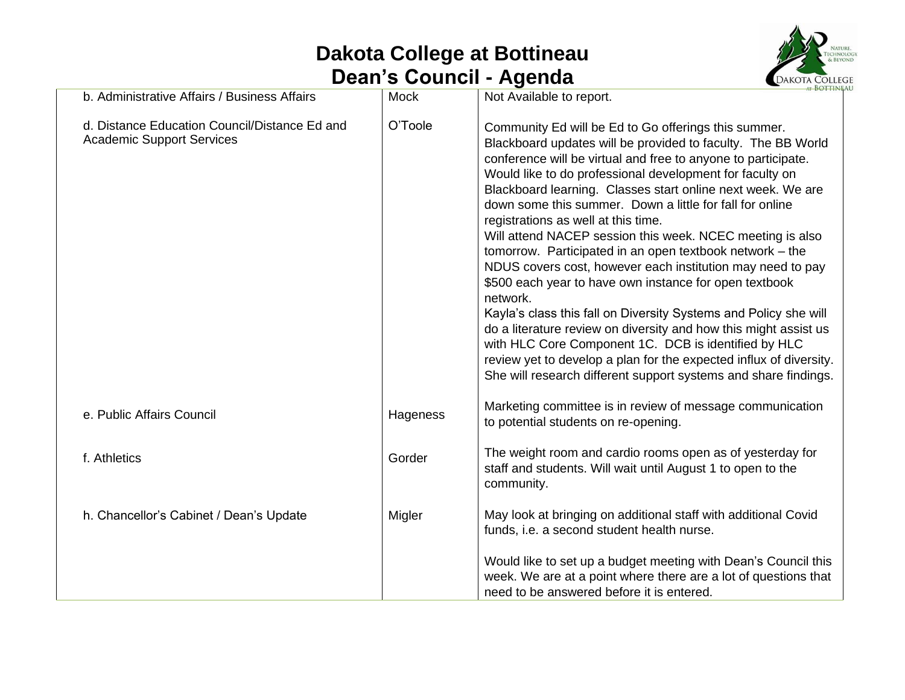## **Dakota College at Bottineau Dean's Council - Agenda**



| b. Administrative Affairs / Business Affairs                                      | <b>Mock</b> | Not Available to report.                                                                                                                                                                                                                                                                                                                                                                                                                                                                                                                                                                                                                                                                                                                                                                                                                                                                                                                                                                                                  |
|-----------------------------------------------------------------------------------|-------------|---------------------------------------------------------------------------------------------------------------------------------------------------------------------------------------------------------------------------------------------------------------------------------------------------------------------------------------------------------------------------------------------------------------------------------------------------------------------------------------------------------------------------------------------------------------------------------------------------------------------------------------------------------------------------------------------------------------------------------------------------------------------------------------------------------------------------------------------------------------------------------------------------------------------------------------------------------------------------------------------------------------------------|
| d. Distance Education Council/Distance Ed and<br><b>Academic Support Services</b> | O'Toole     | Community Ed will be Ed to Go offerings this summer.<br>Blackboard updates will be provided to faculty. The BB World<br>conference will be virtual and free to anyone to participate.<br>Would like to do professional development for faculty on<br>Blackboard learning. Classes start online next week. We are<br>down some this summer. Down a little for fall for online<br>registrations as well at this time.<br>Will attend NACEP session this week. NCEC meeting is also<br>tomorrow. Participated in an open textbook network - the<br>NDUS covers cost, however each institution may need to pay<br>\$500 each year to have own instance for open textbook<br>network.<br>Kayla's class this fall on Diversity Systems and Policy she will<br>do a literature review on diversity and how this might assist us<br>with HLC Core Component 1C. DCB is identified by HLC<br>review yet to develop a plan for the expected influx of diversity.<br>She will research different support systems and share findings. |
| e. Public Affairs Council                                                         | Hageness    | Marketing committee is in review of message communication<br>to potential students on re-opening.                                                                                                                                                                                                                                                                                                                                                                                                                                                                                                                                                                                                                                                                                                                                                                                                                                                                                                                         |
| f. Athletics                                                                      | Gorder      | The weight room and cardio rooms open as of yesterday for<br>staff and students. Will wait until August 1 to open to the<br>community.                                                                                                                                                                                                                                                                                                                                                                                                                                                                                                                                                                                                                                                                                                                                                                                                                                                                                    |
| h. Chancellor's Cabinet / Dean's Update                                           | Migler      | May look at bringing on additional staff with additional Covid<br>funds, i.e. a second student health nurse.                                                                                                                                                                                                                                                                                                                                                                                                                                                                                                                                                                                                                                                                                                                                                                                                                                                                                                              |
|                                                                                   |             | Would like to set up a budget meeting with Dean's Council this<br>week. We are at a point where there are a lot of questions that<br>need to be answered before it is entered.                                                                                                                                                                                                                                                                                                                                                                                                                                                                                                                                                                                                                                                                                                                                                                                                                                            |